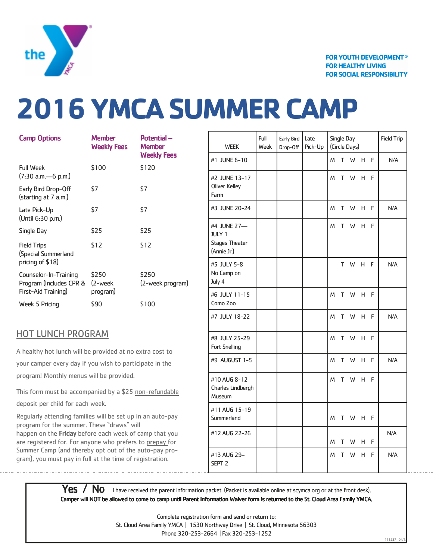

## **2016 YMCA SUMMER CAMP**

| <b>Camp Options</b>                                                     | <b>Member</b><br><b>Weekly Fees</b> | Potential-<br><b>Member</b><br><b>Weekly Fees</b> |
|-------------------------------------------------------------------------|-------------------------------------|---------------------------------------------------|
| <b>Full Week</b><br>(7:30 a.m.—6 p.m.)                                  | \$100                               | \$120                                             |
| Early Bird Drop-Off<br>(starting at 7 a.m.)                             | \$7                                 | \$7                                               |
| Late Pick-Up<br>(Until 6:30 p.m.)                                       | \$7                                 | \$7                                               |
| Single Day                                                              | \$25                                | \$25                                              |
| <b>Field Trips</b><br>(Special Summerland<br>pricing of \$18)           | \$12                                | \$12                                              |
| Counselor-In-Training<br>Program (Includes CPR &<br>First-Aid Training) | \$250<br>(2-week<br>program)        | \$250<br>(2-week program)                         |
| Week 5 Pricing                                                          | \$90                                | \$100                                             |

## HOT LUNCH PROGRAM

A healthy hot lunch will be provided at no extra cost to your camper every day if you wish to participate in the program! Monthly menus will be provided.

This form must be accompanied by a \$25 non-refundable deposit per child for each week.

Regularly attending families will be set up in an auto-pay program for the summer. These "draws" will happen on the Friday before each week of camp that you are registered for. For anyone who prefers to prepay for Summer Camp (and thereby opt out of the auto-pay program), you must pay in full at the time of registration.

| <b>WEEK</b>                                                          | Full<br>Week | Early Bird<br>Drop-Off | Late<br>Pick-Up |   | Single Day | (Circle Days) |   |   | <b>Field Trip</b> |
|----------------------------------------------------------------------|--------------|------------------------|-----------------|---|------------|---------------|---|---|-------------------|
| #1 JUNE 6-10                                                         |              |                        |                 | M | T          | W             | н | F | N/A               |
| #2 JUNE 13-17<br><b>Oliver Kelley</b><br>Farm                        |              |                        |                 | M | T          | W             | н | F |                   |
| #3 JUNE 20-24                                                        |              |                        |                 | M | T          | W             | н | F | N/A               |
| #4 JUNE 27-<br><b>JULY 1</b><br><b>Stages Theater</b><br>(Annie Jr.) |              |                        |                 | M | T          | W             | н | F |                   |
| #5 JULY 5-8<br>No Camp on<br>July 4                                  |              |                        |                 |   | T.         | W             | н | F | N/A               |
| #6 JULY 11-15<br>Como Zoo                                            |              |                        |                 | M | T          | W             | н | F |                   |
| #7 JULY 18-22                                                        |              |                        |                 | M | T          | W             | н | F | N/A               |
| #8 JULY 25-29<br>Fort Snelling                                       |              |                        |                 | M | T          | W             | н | F |                   |
| #9 AUGUST 1-5                                                        |              |                        |                 | M | T          | W             | н | F | N/A               |
| #10 AUG 8-12<br>Charles Lindbergh<br>Museum                          |              |                        |                 | M | T          | W             | н | F |                   |
| #11 AUG 15-19<br>Summerland                                          |              |                        |                 | м | т          | W             | н | F |                   |
| #12 AUG 22-26                                                        |              |                        |                 | M | Т          | W             | н | F | N/A               |
| #13 AUG 29-<br>SEPT <sub>2</sub>                                     |              |                        |                 | M | T          | W             | н | F | N/A               |

Yes / No I have received the parent information packet. (Packet is available online at scymca.org or at the front desk). Camper will NOT be allowed to come to camp until Parent Information Waiver form is returned to the St. Cloud Area Family YMCA.

> Complete registration form and send or return to: St. Cloud Area Family YMCA | 1530 Northway Drive | St. Cloud, Minnesota 56303 Phone 320-253-2664 | Fax 320-253-1252